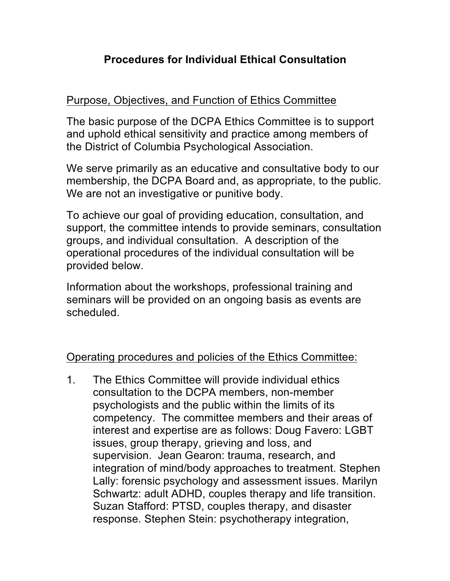## **Procedures for Individual Ethical Consultation**

## Purpose, Objectives, and Function of Ethics Committee

The basic purpose of the DCPA Ethics Committee is to support and uphold ethical sensitivity and practice among members of the District of Columbia Psychological Association.

We serve primarily as an educative and consultative body to our membership, the DCPA Board and, as appropriate, to the public. We are not an investigative or punitive body.

To achieve our goal of providing education, consultation, and support, the committee intends to provide seminars, consultation groups, and individual consultation. A description of the operational procedures of the individual consultation will be provided below.

Information about the workshops, professional training and seminars will be provided on an ongoing basis as events are scheduled.

Operating procedures and policies of the Ethics Committee:

1. The Ethics Committee will provide individual ethics consultation to the DCPA members, non-member psychologists and the public within the limits of its competency. The committee members and their areas of interest and expertise are as follows: Doug Favero: LGBT issues, group therapy, grieving and loss, and supervision. Jean Gearon: trauma, research, and integration of mind/body approaches to treatment. Stephen Lally: forensic psychology and assessment issues. Marilyn Schwartz: adult ADHD, couples therapy and life transition. Suzan Stafford: PTSD, couples therapy, and disaster response. Stephen Stein: psychotherapy integration,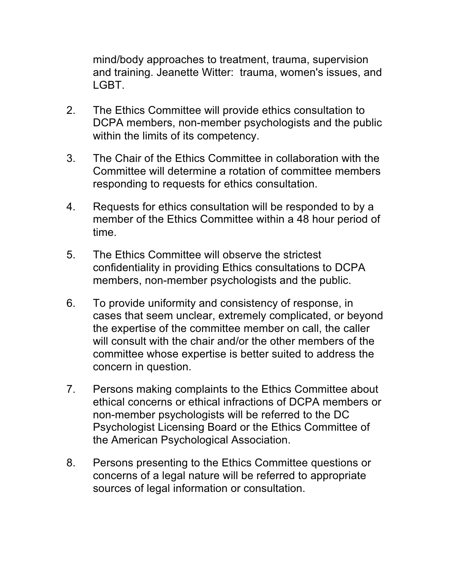mind/body approaches to treatment, trauma, supervision and training. Jeanette Witter: trauma, women's issues, and LGBT.

- 2. The Ethics Committee will provide ethics consultation to DCPA members, non-member psychologists and the public within the limits of its competency.
- 3. The Chair of the Ethics Committee in collaboration with the Committee will determine a rotation of committee members responding to requests for ethics consultation.
- 4. Requests for ethics consultation will be responded to by a member of the Ethics Committee within a 48 hour period of time.
- 5. The Ethics Committee will observe the strictest confidentiality in providing Ethics consultations to DCPA members, non-member psychologists and the public.
- 6. To provide uniformity and consistency of response, in cases that seem unclear, extremely complicated, or beyond the expertise of the committee member on call, the caller will consult with the chair and/or the other members of the committee whose expertise is better suited to address the concern in question.
- 7. Persons making complaints to the Ethics Committee about ethical concerns or ethical infractions of DCPA members or non-member psychologists will be referred to the DC Psychologist Licensing Board or the Ethics Committee of the American Psychological Association.
- 8. Persons presenting to the Ethics Committee questions or concerns of a legal nature will be referred to appropriate sources of legal information or consultation.